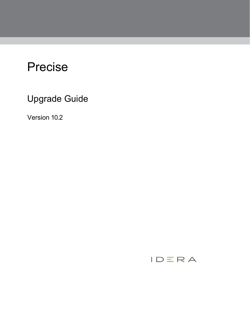# Precise

Upgrade Guide

Version 10.2

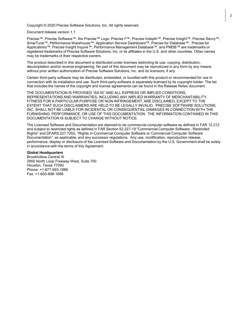Copyright © 2020 Precise Software Solutions, Inc. All rights reserved.

Document release version 1.1

Precise™, Precise Software™, the Precise™ Logo, Precise i<sup>3™</sup>, Precise Indepth™, Precise Insight™, Precise Savvy™, SmarTune™, Performance Warehouse™, Application Service Dashboard™, Precise for Database™, Precise for Applications™, Precise Insight Inquire™, Performance Management Database™, and PMDB™ are trademarks or registered trademarks of Precise Software Solutions, Inc. or its affiliates in the U.S. and other countries. Other names may be trademarks of their respective owners.

The product described in this document is distributed under licenses restricting its use, copying, distribution, decompilation and/or reverse engineering. No part of this document may be reproduced in any form by any means without prior written authorization of Precise Software Solutions, Inc. and its licensors, if any.

Certain third-party software may be distributed, embedded, or bundled with this product or recommended for use in connection with its installation and use. Such third-party software is separately licensed by its copyright holder. The list that includes the names of the copyright and license agreements can be found in the Release Notes document.

THE DOCUMENTATION IS PROVIDED "AS-IS" AND ALL EXPRESS OR IMPLIED CONDITIONS, REPRESENTATIONS AND WARRANTIES, INCLUDING ANY IMPLIED WARRANTY OF MERCHANTABILITY, FITNESS FOR A PARTICULAR PURPOSE OR NON-INFRINGEMENT, ARE DISCLAIMED, EXCEPT TO THE EXTENT THAT SUCH DISCLAIMERS ARE HELD TO BE LEGALLY INVALID. PRECISE SOFTWARE SOLUTIONS, INC. SHALL NOT BE LIABLE FOR INCIDENTAL OR CONSEQUENTIAL DAMAGES IN CONNECTION WITH THE FURNISHING, PERFORMANCE, OR USE OF THIS DOCUMENTATION. THE INFORMATION CONTAINED IN THIS DOCUMENTATION IS SUBJECT TO CHANGE WITHOUT NOTICE.

The Licensed Software and Documentation are deemed to be commercial computer software as defined in FAR 12.212 and subject to restricted rights as defined in FAR Section 52.227-19 "Commercial Computer Software - Restricted Rights" and DFARS 227.7202, "Rights in Commercial Computer Software or Commercial Computer Software Documentation", as applicable, and any successor regulations. Any use, modification, reproduction release, performance, display or disclosure of the Licensed Software and Documentation by the U.S. Government shall be solely in accordance with the terms of this Agreement.

#### **Global Headquarters**

Brookhollow Central III 2950 North Loop Freeway West, Suite 700 Houston, Texas 77092 Phone: +1-877-693-1886 Fax: +1-650-898-1666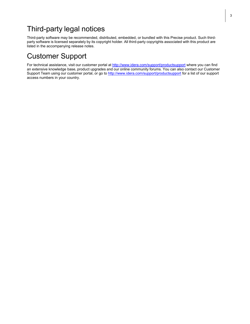## Third-party legal notices

Third-party software may be recommended, distributed, embedded, or bundled with this Precise product. Such thirdparty software is licensed separately by its copyright holder. All third-party copyrights associated with this product are listed in the accompanying release notes.

## Customer Support

For technical assistance, visit our customer portal at<http://www.idera.com/support/productsupport> where you can find an extensive knowledge base, product upgrades and our online community forums. You can also contact our Customer Support Team using our customer portal, or go to <http://www.idera.com/support/productsupport> for a list of our support access numbers in your country.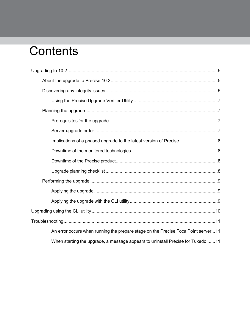# Contents

| An error occurs when running the prepare stage on the Precise FocalPoint server11 |  |
|-----------------------------------------------------------------------------------|--|
| When starting the upgrade, a message appears to uninstall Precise for Tuxedo 11   |  |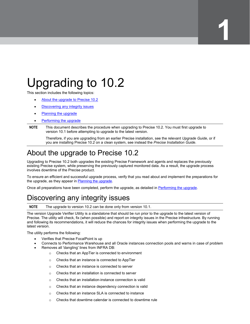# <span id="page-4-0"></span>Upgrading to 10.2

This section includes the following topics:

- [About the upgrade to Precise 10.2](#page-4-1)
- [Discovering any integrity issues](#page-4-2)
- [Planning the upgrade](#page-6-1)
- [Performing the upgrade](#page-8-0)

**NOTE** This document describes the procedure when upgrading to Precise 10.2. You must first upgrade to version 10.1 before attempting to upgrade to the latest version.

Therefore, if you are upgrading from an earlier Precise installation, see the relevant *Upgrade Guide*, or if you are installing Precise 10.2 on a clean system, see instead the *Precise Installation Guide*.

## <span id="page-4-1"></span>About the upgrade to Precise 10.2

Upgrading to Precise 10.2 both upgrades the existing Precise Framework and agents and replaces the previously existing Precise system, while preserving the previously captured monitored data. As a result, the upgrade process involves downtime of the Precise product.

To ensure an efficient and successful upgrade process, verify that you read about and implement the preparations for the upgrade, as they appear in [Planning the upgrade.](#page-6-1)

Once all preparations have been completed, perform the upgrade, as detailed i[n Performing the upgrade.](#page-8-0)

# <span id="page-4-2"></span>Discovering any integrity issues

**NOTE** The upgrade to version 10.2 can be done only from version 10.1.

The version Upgrade Verifier Utility is a standalone that should be run prior to the upgrade to the latest version of Precise. The utility will check, fix (when possible) and report on integrity issues in the Precise infrastructure. By running and following its recommendations, it will reduce the chances for integrity issues when performing the upgrade to the latest version.

The utility performs the following:

- Verifies that Precise FocalPoint is up
- Connects to Performance Warehouse and all Oracle instances connection pools and warns in case of problem
- Removes all 'dangling' lines from INFRA DB:
	- o Checks that an AppTier is connected to environment
	- o Checks that an instance is connected to AppTier
	- o Checks that an instance is connected to server
	- o Checks that an installation is connected to server
	- o Checks that an installation-instance connection is valid
	- o Checks that an instance dependency connection is valid
	- o Checks that an instance SLA is connected to instance
	- o Checks that downtime calendar is connected to downtime rule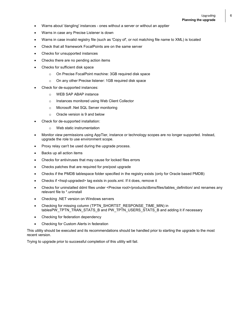- Warns about 'dangling' instances ones without a server or without an apptier
- Warns in case any Precise Listener is down
- Warns in case invalid registry file (such as 'Copy of', or not matching file name to XML) is located
- Check that all framework FocalPoints are on the same server
- Checks for unsupported instances
- Checks there are no pending action items
- Checks for sufficient disk space
	- o On Precise FocalPoint machine: 3GB required disk space
	- o On any other Precise listener: 1GB required disk space
- Check for de-supported instances:
	- o WEB SAP ABAP instance
	- o Instances monitored using Web Client Collector
	- o Microsoft .Net SQL Server monitoring
	- o Oracle version is 9 and below
- Check for de-supported installation:
	- o Web static instrumentation
- Monitor view permissions using AppTier, instance or technology scopes are no longer supported. Instead, upgrade the role to use environment scope.
- Proxy relay can't be used during the upgrade process.
- Backs up all action items
- Checks for antiviruses that may cause for locked files errors
- Checks patches that are required for pre/post upgrade
- Checks if the PMDB tablespace folder specified in the registry exists (only for Oracle based PMDB)
- Checks if <hsql-upgraded> tag exists in pools.xml. If it does, remove it
- Checks for uninstalled ddml files under <Precise root>/products/dbms/files/tables\_definition/ and renames any relevant file to \*.uninstall
- Checking .NET version on Windows servers
- Checking for missing column (TPTN\_SHORTST\_RESPONSE\_TIME\_MIN) in tablesPW\_TPTN\_TRAN\_STATS\_B and PW\_TPTN\_USERS\_STATS\_B and adding it if necessary
- Checking for federation dependency
- Checking for Custom Alerts in federation

This utility should be executed and its recommendations should be handled prior to starting the upgrade to the most recent version.

Trying to upgrade prior to successful completion of this utility will fail.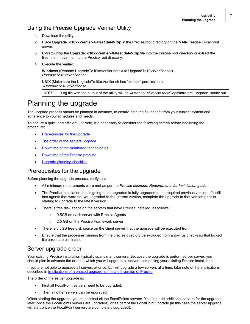### <span id="page-6-0"></span>Using the Precise Upgrade Verifier Utility

- 1. Download the utility.
- 2. Place **UpgradeTo10xxVerifier-<***latest date***>.zip** in the Precise root directory on the MAIN Precise FocalPoint server.
- 3. Extract/unzip the **UpgradeTo10xxVerifier-<latest date>.zip** file into the Precise root directory or extract the files, then move them to the Precise root directory.
- 4. Execute the verifier:

**Windows** (Rename UpgradeTo10xxVerifier.bat.txt to UpgradeTo10xxVerifier.bat) *UpgradeTo10xxVerifier.bat*

**UNIX** (Make sure the UpgradeTo10xxVerifier.sh has 'execute' permissions) *./UpgradeTo10xxVerifier.sh*

**NOTE** Log file with the output of the utility will be written to: <*Precise root*>\logs\infra.pre\_upgrade\_sanity.out.

## <span id="page-6-1"></span>Planning the upgrade

The upgrade process should be planned in advance, to ensure both the full benefit from your current system and adherence to your schedules and needs.

To ensure a quick and efficient upgrade, it is necessary to consider the following criteria before beginning the procedure:

- [Prerequisites for the upgrade](#page-6-2)
- [The order of the servers upgrade](#page-6-3)
- [Downtime of the monitored technologies](#page-7-4)
- [Downtime of the Precise product](#page-7-2)
- [Upgrade planning checklist](#page-7-3)

#### <span id="page-6-2"></span>Prerequisites for the upgrade

Before planning the upgrade process, verify that:

- All minimum requirements were met as per the *Precise Minimum Requirements for Installation guide.*
- The Precise installation that is going to be upgraded is fully upgraded to the required previous version. If it still has agents that were not yet upgraded to the correct version, complete the upgrade to that version prior to starting to upgrade to the latest version.
- There is free disk space on the servers that have Precise installed, as follows:
	- o 0.5GB on each server with Precise Agents
	- o 2.5 GB on the Precise Framework server
- There is 0.5GB free disk space on the client server that the upgrade will be executed from.
- Ensure that the processes running from the precise directory be excluded from anti-virus checks so that locked file errors are eliminated.

#### <span id="page-6-3"></span>Server upgrade order

Your existing Precise installation typically spans many servers. Because the upgrade is performed per server, you should plan in advance the order in which you will upgrade all servers comprising your existing Precise installation.

If you are not able to upgrade all servers at once, but will upgrade a few servers at a time, take note of the implications described in *Implications of a phased upgrade to the latest version of Precise*.

The order of the server upgrade is:

- First all FocalPoint servers need to be upgraded.
- Then all other servers can be upgraded.

When starting the upgrade, you must select all the FocalPoints servers. You can add additional servers for the upgrade later (once the FocalPoints servers are upgraded), or as part of the FocalPoint upgrade (in this case the server upgrade will start once the FocalPoint servers are completely upgraded).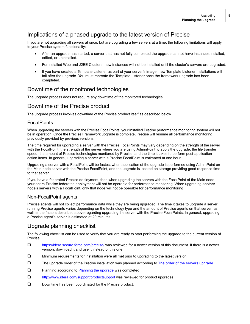### <span id="page-7-0"></span>Implications of a phased upgrade to the latest version of Precise

If you are not upgrading all servers at once, but are upgrading a few servers at a time, the following limitations will apply to your Precise system functionality:

- After an upgrade has started, a server that has not fully completed the upgrade cannot have instances installed, edited, or uninstalled.
- For installed Web and J2EE Clusters, new instances will not be installed until the cluster's servers are upgraded.
- <span id="page-7-4"></span>• If you have created a Template Listener as part of your server's image, new Template Listener installations will fail after the upgrade. You must recreate the Template Listener once the framework upgrade has been completed.

### <span id="page-7-1"></span>Downtime of the monitored technologies

The upgrade process does not require any downtime of the monitored technologies.

### <span id="page-7-2"></span>Downtime of the Precise product

The upgrade process involves downtime of the Precise product itself as described below.

#### **FocalPoints**

When upgrading the servers with the Precise FocalPoints, your installed Precise performance monitoring system will not be in operation. Once the Precise Framework upgrade is complete, Precise will resume all performance monitoring previously provided by previous versions.

The time required for upgrading a server with the Precise FocalPoints may vary depending on the strength of the server with the FocalPoint, the strength of the server where you are using AdminPoint to apply the upgrade, the file transfer speed, the amount of Precise technologies monitored by Precise, and the time it takes to perform post-application action items. In general, upgrading a server with a Precise FocalPoint is estimated at one hour.

Upgrading a server with a FocalPoint will be fastest when application of the upgrade is performed using AdminPoint on the Main node server with the Precise FocalPoint, and the upgrade is located on storage providing good response time to that server.

If you have a federated Precise deployment, then when upgrading the servers with the FocalPoint of the Main node, your entire Precise federated deployment will not be operable for performance monitoring. When upgrading another node's servers with a FocalPoint, only that node will not be operable for performance monitoring.

#### Non-FocalPoint agents

Precise agents will not collect performance data while they are being upgraded. The time it takes to upgrade a server running Precise agents varies depending on the technology type and the amount of Precise agents on that server, as well as the factors described above regarding upgrading the server with the Precise FocalPoints. In general, upgrading a Precise agent's server is estimated at 20 minutes.

## <span id="page-7-3"></span>Upgrade planning checklist

The following checklist can be used to verify that you are ready to start performing the upgrade to the current version of Precise:

- <https://idera.secure.force.com/precise/> was reviewed for a newer version of this document. If there is a newer version, download it and use it instead of this one.
- Minimum requirements for installation were all met prior to upgrading to the latest version.
- The upgrade order of the Precise installation was planned according to [The order of the servers upgrade.](#page-6-3)
- $\Box$  Planning according to [Planning the upgrade](#page-6-1) was completed.
- □ <http://www.idera.com/support/productsupport> was reviewed for product upgrades.
- Downtime has been coordinated for the Precise product.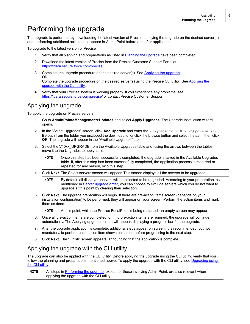# <span id="page-8-0"></span>Performing the upgrade

The upgrade is performed by downloading the latest version of Precise, applying the upgrade on the desired server(s), and performing additional actions that appear in AdminPoint before and after application.

To upgrade to the latest version of Precise

- 1. Verify that all planning and preparations as listed i[n Planning the upgrade](#page-6-1) have been completed.
- 2. Download the latest version of Precise from the Precise Customer Support Portal at [https://idera.secure.force.com/precise/.](https://idera.secure.force.com/precise/)
- 3. Complete the upgrade procedure on the desired server(s). See [Applying the upgrade.](#page-8-2) OR Complete the upgrade procedure on the desired server(s) using the Precise CLI utility. See Applying the [upgrade with the CLI utility.](#page-8-2)
- 4. Verify that your Precise system is working properly. If you experience any problems, see <https://idera.secure.force.com/precise/> or contact Precise Customer Support.

#### <span id="page-8-1"></span>Applying the upgrade

To apply the upgrade on Precise servers

- 1. Go to **AdminPoint>Management>Updates** and select **Apply Upgrades**. The Upgrade Installation wizard opens.
- 2. In the "Select Upgrades" screen, click Add Upgrade and enter the *\*Upgrade to v10.x.x\Upgrade.zip file path from the folder you unzipped the download to, or click the browse button and select the path, then click **OK**. The upgrade will appear in the "Available Upgrades" table.
- 3. Select the V10xx\_UPGRADE from the Available Upgrades table and, using the arrows between the tables, move it to the Upgrades to apply table.
	- **NOTE** Once this step has been successfully completed, the upgrade is saved in the Available Upgrades table. If, after this step has been successfully completed, the application process is restarted or repeated for any reason, skip this step.
- 4. Click **Next**. The Select servers screen will appear. This screen displays all the servers to be upgraded.

**NOTE** By default, all displayed servers will be selected to be upgraded. According to your preparation, as mentioned i[n Server upgrade order,](#page-6-3) you can choose to exclude servers which you do not want to upgrade at this point by clearing their selection.

5. Click **Next**. The upgrade preparation will begin. If there are pre-action items screen (depends on your installation configuration) to be performed, they will appear on your screen. Perform the action items and mark them as done.

**NOTE** At this point, while the Precise FocalPoint is being restarted, an empty screen may appear.

- 6. Once all pre-action items are completed, or if no pre-action items are required, the upgrade will continue automatically. The Applying upgrade screen will appear, displaying a progress bar for the upgrade.
- 7. After the upgrade application is complete, additional steps appear on screen. It is recommended, but not mandatory, to perform each action item shown on screen before progressing to the next step.
- 8. Click **Next**. The "Finish" screen appears, announcing that the application is complete.

## <span id="page-8-2"></span>Applying the upgrade with the CLI utility

The upgrade can also be applied with the CLI utility. Before applying the upgrade using the CLI utility, verify that you follow the planning and preparations mentioned above. To apply the upgrade with the CLI utility, see Upgrading using [the CLI utility.](#page-9-0)

**NOTE** All steps in [Performing the upgrade,](#page-8-0) except for those involving AdminPoint, are also relevant when applying the upgrade with the CLI utility.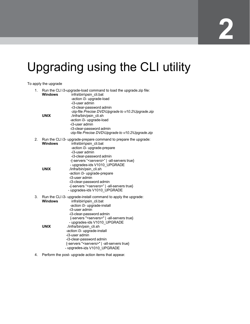# <span id="page-9-0"></span>Upgrading using the CLI utility

To apply the upgrade

| 1. | <b>Windows</b><br><b>UNIX</b> | Run the CLI i3-upgrade-load command to load the upgrade.zip file:<br>infra\bin\psin cli.bat<br>-action i3- upgrade-load<br>-i3-user admin<br>-i3-clear-password admin<br>-zip-file Precise DVD\Upgrade to v10.2\Upgrade.zip<br>./infra/bin/psin cli.sh<br>-action i3- upgrade-load<br>-i3-user admin<br>-i3-clear-password admin<br>-zip-file Precise DVD\Upgrade to v10.2\Upgrade.zip                                                                                   |
|----|-------------------------------|--------------------------------------------------------------------------------------------------------------------------------------------------------------------------------------------------------------------------------------------------------------------------------------------------------------------------------------------------------------------------------------------------------------------------------------------------------------------------|
| 2. | <b>Windows</b><br><b>UNIX</b> | Run the CLI i3- upgrade-prepare command to prepare the upgrade:<br>infra\bin\psin cli.bat<br>-action i3- upgrade-prepare<br>-i3-user admin<br>-i3-clear-password admin<br>-{-servers " <servers>"   -all-servers true}<br/>- upgrades-ids V1010 UPGRADE<br/>./infra/bin/psin_cli.sh<br/>-action i3- upgrade-prepare<br/>-i3-user admin<br/>-i3-clear-password admin<br/>-{-servers "<servers>"   -all-servers true}<br/>- upgrades-ids V1010 UPGRADE</servers></servers> |
| 3. | <b>Windows</b><br><b>UNIX</b> | Run the CLI i3- upgrade-install command to apply the upgrade:<br>infra\bin\psin cli.bat<br>-action i3- upgrade-install<br>-i3-user admin<br>-i3-clear-password admin<br>{-servers " <servers>"   -all-servers true}<br/>- upgrades-ids V1010 UPGRADE<br/>./infra/bin/psin_cli.sh<br/>-action i3- upgrade-install<br/>-i3-user admin<br/>-i3-clear-password admin<br/>{-servers "<servers>"   -all-servers true}<br/>- upgrades-ids V1010 UPGRADE</servers></servers>     |

4. Perform the post- upgrade action items that appear.